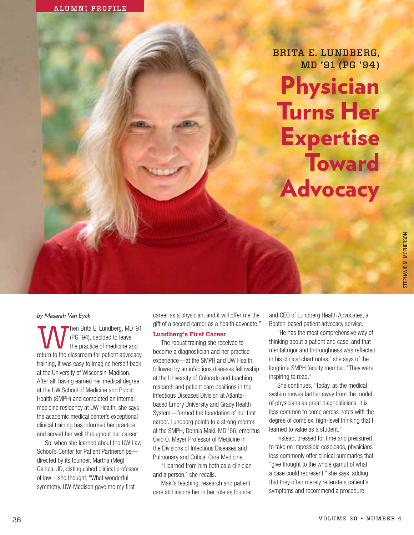BRITA E. LUNDBERG, MD '91 (PG '94)



# STEPHANIE M. MCPHERSON STEPHANIE M. MCPHERSON

# *by Masarah Van Eyck*

hen Brita E. Lundberg, MD '91 (PG '94), decided to leave the practice of medicine and return to the classroom for patient advocacy training, it was easy to imagine herself back at the University of Wisconsin-Madison. After all, having earned her medical degree at the UW School of Medicine and Public Health (SMPH) and completed an internal medicine residency at UW Health, she says the academic medical center's exceptional clinical training has informed her practice and served her well throughout her career.

So, when she learned about the UW Law School's Center for Patient Partnerships directed by its founder, Martha (Meg) Gaines, JD, distinguished clinical professor of law—she thought, "What wonderful symmetry. UW-Madison gave me my first

career as a physician, and it will offer me the gift of a second career as a health advocate."

### **Lundberg's First Career**

The robust training she received to become a diagnostician and her practice experience—at the SMPH and UW Health, followed by an infectious diseases fellowship at the University of Colorado and teaching, research and patient care positions in the Infectious Diseases Division at Atlantabased Emory University and Grady Health System—formed the foundation of her first career. Lundberg points to a strong mentor at the SMPH, Dennis Maki, MD '66, emeritus Ovid O. Meyer Professor of Medicine in the Divisions of Infectious Diseases and Pulmonary and Critical Care Medicine.

"I learned from him both as a clinician and a person," she recalls.

Maki's teaching, research and patient care still inspire her in her role as founder and CEO of Lundberg Health Advocates, a Boston-based patient advocacy service.

"He has the most comprehensive way of thinking about a patient and case, and that mental rigor and thoroughness was reflected in his clinical chart notes," she says of the longtime SMPH faculty member. "They were inspiring to read."

She continues, "Today, as the medical system moves farther away from the model of physicians as great diagnosticians, it is less common to come across notes with the degree of complex, high-level thinking that I learned to value as a student."

Instead, pressed for time and pressured to take on impossible caseloads, physicians less commonly offer clinical summaries that "give thought to the whole gamut of what a case could represent," she says, adding that they often merely reiterate a patient's symptoms and recommend a procedure.